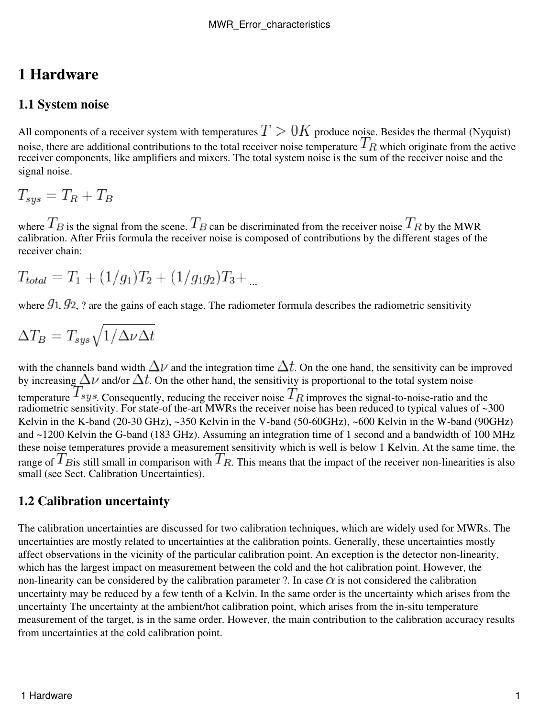# **1 Hardware**

## **1.1 System noise**

All components of a receiver system with temperatures  $T > 0$  K produce noise. Besides the thermal (Nyquist) noise, there are additional contributions to the total receiver noise temperature  $T_R$  which originate from the active receiver components, like amplifiers and mixers. The total system noise is the sum of the receiver noise and the signal noise.

$$
T_{sys} = T_R + T_B
$$

where  $I_B$  is the signal from the scene.  $I_B$  can be discriminated from the receiver noise  $I_B$  by the MWR calibration. After Friis formula the receiver noise is composed of contributions by the different stages of the receiver chain:

$$
T_{total} = T_1 + (1/g_1)T_2 + (1/g_1g_2)T_3 + ...
$$

where  $g_1$ ,  $g_2$ , ? are the gains of each stage. The radiometer formula describes the radiometric sensitivity

$$
\Delta T_B = T_{sys}\sqrt{1/\Delta\nu\Delta t}
$$

with the channels band width  $\Delta \nu$  and the integration time  $\Delta t$ . On the one hand, the sensitivity can be improved by increasing  $\Delta \nu$  and/or  $\Delta t$ . On the other hand, the sensitivity is proportional to the total system noise temperature  $I$  sys. Consequently, reducing the receiver noise  $I$  R improves the signal-to-noise-ratio and the radiometric sensitivity. For state-of the-art MWRs the receiver noise has been reduced to typical values of ~300 Kelvin in the K-band (20-30 GHz), ~350 Kelvin in the V-band (50-60GHz), ~600 Kelvin in the W-band (90GHz) and ~1200 Kelvin the G-band (183 GHz). Assuming an integration time of 1 second and a bandwidth of 100 MHz these noise temperatures provide a measurement sensitivity which is well is below 1 Kelvin. At the same time, the range of  $T_{B}$  is still small in comparison with  $T_{R}$ . This means that the impact of the receiver non-linearities is also small (see Sect. Calibration Uncertainties).

### **1.2 Calibration uncertainty**

The calibration uncertainties are discussed for two calibration techniques, which are widely used for MWRs. The uncertainties are mostly related to uncertainties at the calibration points. Generally, these uncertainties mostly affect observations in the vicinity of the particular calibration point. An exception is the detector non-linearity, which has the largest impact on measurement between the cold and the hot calibration point. However, the non-linearity can be considered by the calibration parameter ?. In case  $\alpha$  is not considered the calibration uncertainty may be reduced by a few tenth of a Kelvin. In the same order is the uncertainty which arises from the uncertainty The uncertainty at the ambient/hot calibration point, which arises from the in-situ temperature measurement of the target, is in the same order. However, the main contribution to the calibration accuracy results from uncertainties at the cold calibration point.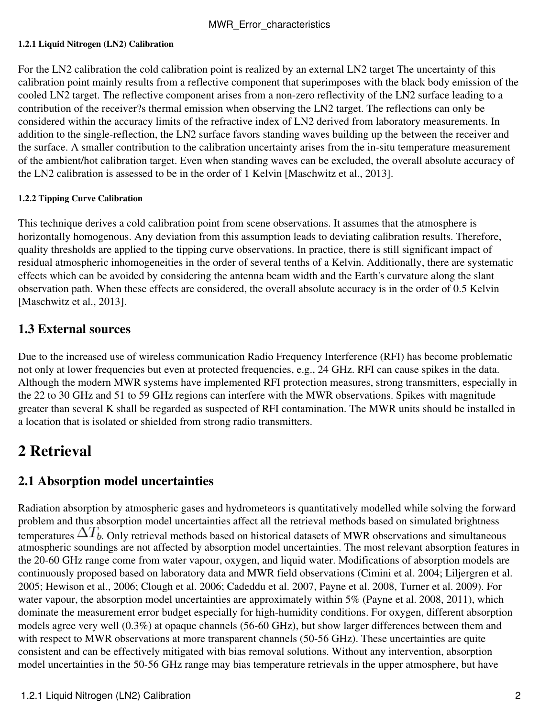#### **1.2.1 Liquid Nitrogen (LN2) Calibration**

For the LN2 calibration the cold calibration point is realized by an external LN2 target The uncertainty of this calibration point mainly results from a reflective component that superimposes with the black body emission of the cooled LN2 target. The reflective component arises from a non-zero reflectivity of the LN2 surface leading to a contribution of the receiver?s thermal emission when observing the LN2 target. The reflections can only be considered within the accuracy limits of the refractive index of LN2 derived from laboratory measurements. In addition to the single-reflection, the LN2 surface favors standing waves building up the between the receiver and the surface. A smaller contribution to the calibration uncertainty arises from the in-situ temperature measurement of the ambient/hot calibration target. Even when standing waves can be excluded, the overall absolute accuracy of the LN2 calibration is assessed to be in the order of 1 Kelvin [Maschwitz et al., 2013].

#### **1.2.2 Tipping Curve Calibration**

This technique derives a cold calibration point from scene observations. It assumes that the atmosphere is horizontally homogenous. Any deviation from this assumption leads to deviating calibration results. Therefore, quality thresholds are applied to the tipping curve observations. In practice, there is still significant impact of residual atmospheric inhomogeneities in the order of several tenths of a Kelvin. Additionally, there are systematic effects which can be avoided by considering the antenna beam width and the Earth's curvature along the slant observation path. When these effects are considered, the overall absolute accuracy is in the order of 0.5 Kelvin [Maschwitz et al., 2013].

## **1.3 External sources**

Due to the increased use of wireless communication Radio Frequency Interference (RFI) has become problematic not only at lower frequencies but even at protected frequencies, e.g., 24 GHz. RFI can cause spikes in the data. Although the modern MWR systems have implemented RFI protection measures, strong transmitters, especially in the 22 to 30 GHz and 51 to 59 GHz regions can interfere with the MWR observations. Spikes with magnitude greater than several K shall be regarded as suspected of RFI contamination. The MWR units should be installed in a location that is isolated or shielded from strong radio transmitters.

# **2 Retrieval**

# **2.1 Absorption model uncertainties**

Radiation absorption by atmospheric gases and hydrometeors is quantitatively modelled while solving the forward problem and thus absorption model uncertainties affect all the retrieval methods based on simulated brightness temperatures  $\Delta I_b$ . Only retrieval methods based on historical datasets of MWR observations and simultaneous atmospheric soundings are not affected by absorption model uncertainties. The most relevant absorption features in the 20-60 GHz range come from water vapour, oxygen, and liquid water. Modifications of absorption models are continuously proposed based on laboratory data and MWR field observations (Cimini et al. 2004; Liljergren et al. 2005; Hewison et al., 2006; Clough et al. 2006; Cadeddu et al. 2007, Payne et al. 2008, Turner et al. 2009). For water vapour, the absorption model uncertainties are approximately within 5% (Payne et al. 2008, 2011), which dominate the measurement error budget especially for high-humidity conditions. For oxygen, different absorption models agree very well (0.3%) at opaque channels (56-60 GHz), but show larger differences between them and with respect to MWR observations at more transparent channels (50-56 GHz). These uncertainties are quite consistent and can be effectively mitigated with bias removal solutions. Without any intervention, absorption model uncertainties in the 50-56 GHz range may bias temperature retrievals in the upper atmosphere, but have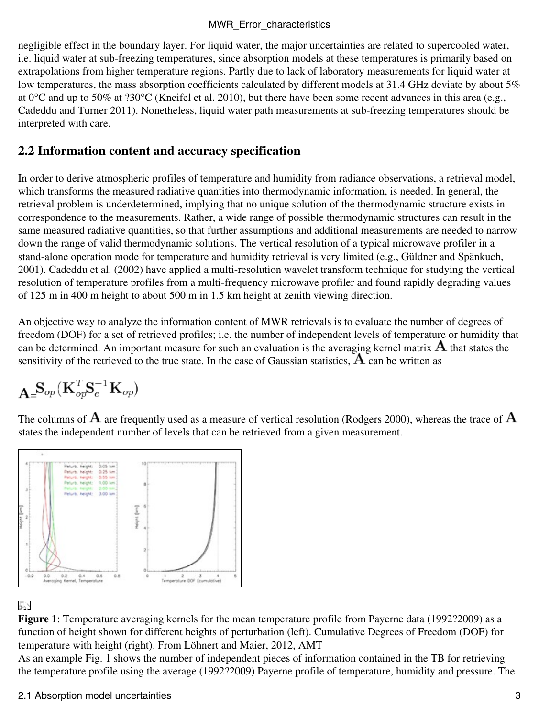#### MWR Error characteristics

negligible effect in the boundary layer. For liquid water, the major uncertainties are related to supercooled water, i.e. liquid water at sub-freezing temperatures, since absorption models at these temperatures is primarily based on extrapolations from higher temperature regions. Partly due to lack of laboratory measurements for liquid water at low temperatures, the mass absorption coefficients calculated by different models at 31.4 GHz deviate by about 5% at 0°C and up to 50% at ?30°C (Kneifel et al. 2010), but there have been some recent advances in this area (e.g., Cadeddu and Turner 2011). Nonetheless, liquid water path measurements at sub-freezing temperatures should be interpreted with care.

## **2.2 Information content and accuracy specification**

In order to derive atmospheric profiles of temperature and humidity from radiance observations, a retrieval model, which transforms the measured radiative quantities into thermodynamic information, is needed. In general, the retrieval problem is underdetermined, implying that no unique solution of the thermodynamic structure exists in correspondence to the measurements. Rather, a wide range of possible thermodynamic structures can result in the same measured radiative quantities, so that further assumptions and additional measurements are needed to narrow down the range of valid thermodynamic solutions. The vertical resolution of a typical microwave profiler in a stand-alone operation mode for temperature and humidity retrieval is very limited (e.g., Güldner and Spänkuch, 2001). Cadeddu et al. (2002) have applied a multi-resolution wavelet transform technique for studying the vertical resolution of temperature profiles from a multi-frequency microwave profiler and found rapidly degrading values of 125 m in 400 m height to about 500 m in 1.5 km height at zenith viewing direction.

An objective way to analyze the information content of MWR retrievals is to evaluate the number of degrees of freedom (DOF) for a set of retrieved profiles; i.e. the number of independent levels of temperature or humidity that can be determined. An important measure for such an evaluation is the averaging kernel matrix  $\bf{A}$  that states the sensitivity of the retrieved to the true state. In the case of Gaussian statistics,  $\widetilde{A}$  can be written as

$$
\mathbf{A}_\mathbf{=} \mathbf{S}_{op}(\mathbf{K}_{op}^T \mathbf{S}_e^{-1} \mathbf{K}_{op})
$$

The columns of  $\bf{A}$  are frequently used as a measure of vertical resolution (Rodgers 2000), whereas the trace of  $\bf{A}$ states the independent number of levels that can be retrieved from a given measurement.



### P.

**Figure 1**: Temperature averaging kernels for the mean temperature profile from Payerne data (1992?2009) as a function of height shown for different heights of perturbation (left). Cumulative Degrees of Freedom (DOF) for temperature with height (right). From Löhnert and Maier, 2012, AMT

As an example Fig. 1 shows the number of independent pieces of information contained in the TB for retrieving the temperature profile using the average (1992?2009) Payerne profile of temperature, humidity and pressure. The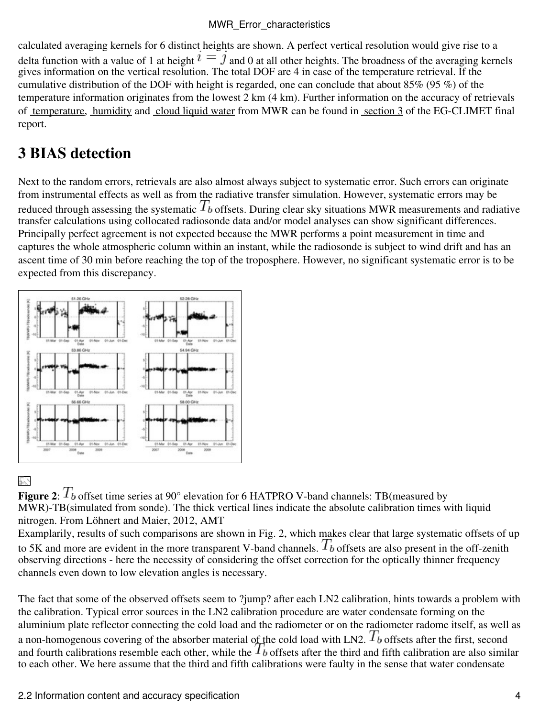#### MWR Error characteristics

calculated averaging kernels for 6 distinct heights are shown. A perfect vertical resolution would give rise to a delta function with a value of 1 at height  $\imath = \jmath$  and 0 at all other heights. The broadness of the averaging kernels gives information on the vertical resolution. The total DOF are 4 in case of the temperature retrieval. If the cumulative distribution of the DOF with height is regarded, one can conclude that about 85% (95 %) of the temperature information originates from the lowest 2 km (4 km). Further information on the accuracy of retrievals of [temperature](http://cfa.aquila.infn.it/wiki.eg-climet.org/index.php5/Final_Report#Temperature_profile), [humidity](http://cfa.aquila.infn.it/wiki.eg-climet.org/index.php5/Final_Report#Humidity_profile) and [cloud liquid water](http://cfa.aquila.infn.it/wiki.eg-climet.org/index.php5/Final_Report#Liquid_clouds) from MWR can be found in [section 3](http://cfa.aquila.infn.it/wiki.eg-climet.org/index.php5/Final_Report#Products) of the EG-CLIMET final report.

# **3 BIAS detection**

Next to the random errors, retrievals are also almost always subject to systematic error. Such errors can originate from instrumental effects as well as from the radiative transfer simulation. However, systematic errors may be reduced through assessing the systematic  $T_b$  offsets. During clear sky situations MWR measurements and radiative transfer calculations using collocated radiosonde data and/or model analyses can show significant differences. Principally perfect agreement is not expected because the MWR performs a point measurement in time and captures the whole atmospheric column within an instant, while the radiosonde is subject to wind drift and has an ascent time of 30 min before reaching the top of the troposphere. However, no significant systematic error is to be expected from this discrepancy.



# 53

**Figure 2**:  $T_b$  offset time series at 90° elevation for 6 HATPRO V-band channels: TB(measured by MWR)-TB(simulated from sonde). The thick vertical lines indicate the absolute calibration times with liquid nitrogen. From Löhnert and Maier, 2012, AMT

Examplarily, results of such comparisons are shown in Fig. 2, which makes clear that large systematic offsets of up to 5K and more are evident in the more transparent V-band channels.  $T_b$  offsets are also present in the off-zenith observing directions - here the necessity of considering the offset correction for the optically thinner frequency channels even down to low elevation angles is necessary.

The fact that some of the observed offsets seem to ?jump? after each LN2 calibration, hints towards a problem with the calibration. Typical error sources in the LN2 calibration procedure are water condensate forming on the aluminium plate reflector connecting the cold load and the radiometer or on the radiometer radome itself, as well as a non-homogenous covering of the absorber material of the cold load with LN2.  $T_b$  offsets after the first, second and fourth calibrations resemble each other, while the  $T_b$  offsets after the third and fifth calibration are also similar to each other. We here assume that the third and fifth calibrations were faulty in the sense that water condensate